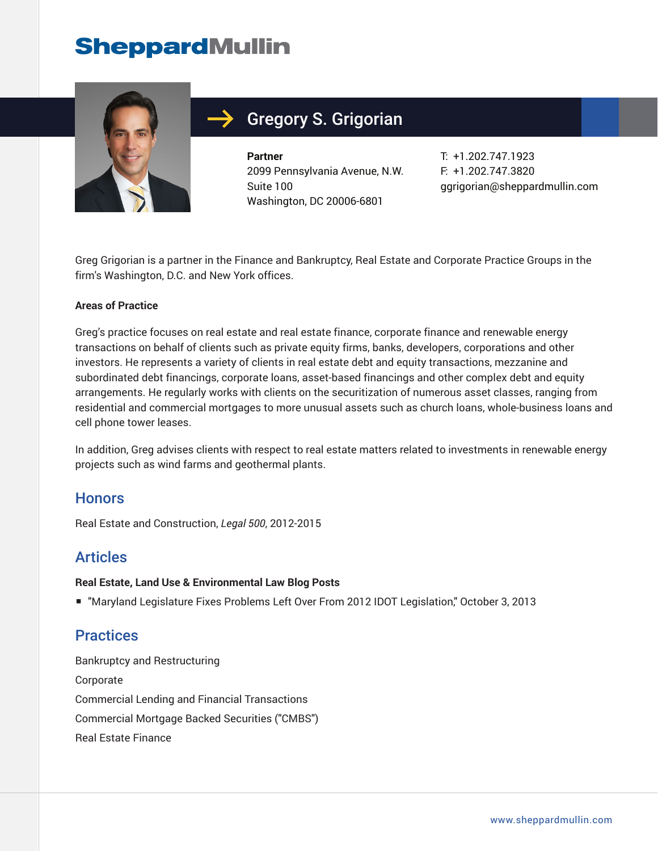# **SheppardMullin**



## Gregory S. Grigorian

**Partner** 2099 Pennsylvania Avenue, N.W. Suite 100 Washington, DC 20006-6801

T: +1.202.747.1923 F: +1.202.747.3820 ggrigorian@sheppardmullin.com

Greg Grigorian is a partner in the Finance and Bankruptcy, Real Estate and Corporate Practice Groups in the firm's Washington, D.C. and New York offices.

#### **Areas of Practice**

Greg's practice focuses on real estate and real estate finance, corporate finance and renewable energy transactions on behalf of clients such as private equity firms, banks, developers, corporations and other investors. He represents a variety of clients in real estate debt and equity transactions, mezzanine and subordinated debt financings, corporate loans, asset-based financings and other complex debt and equity arrangements. He regularly works with clients on the securitization of numerous asset classes, ranging from residential and commercial mortgages to more unusual assets such as church loans, whole-business loans and cell phone tower leases.

In addition, Greg advises clients with respect to real estate matters related to investments in renewable energy projects such as wind farms and geothermal plants.

#### **Honors**

Real Estate and Construction, *Legal 500*, 2012-2015

#### **Articles**

#### **Real Estate, Land Use & Environmental Law Blog Posts**

■ "Maryland Legislature Fixes Problems Left Over From 2012 IDOT Legislation," October 3, 2013

#### **Practices**

Bankruptcy and Restructuring Corporate Commercial Lending and Financial Transactions Commercial Mortgage Backed Securities ("CMBS") Real Estate Finance